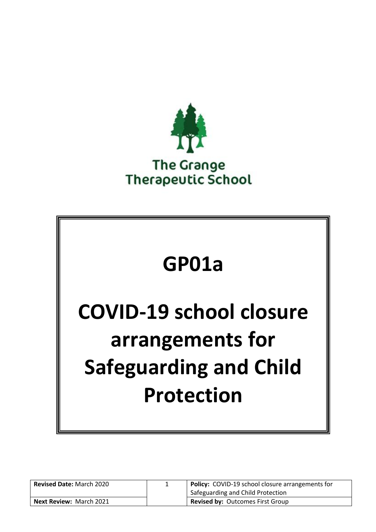

# **GP01a**

# **COVID-19 school closure arrangements for Safeguarding and Child Protection**

| <b>Revised Date: March 2020</b> | <b>Policy:</b> COVID-19 school closure arrangements for<br>Safeguarding and Child Protection |
|---------------------------------|----------------------------------------------------------------------------------------------|
| <b>Next Review: March 2021</b>  | <b>Revised by: Outcomes First Group</b>                                                      |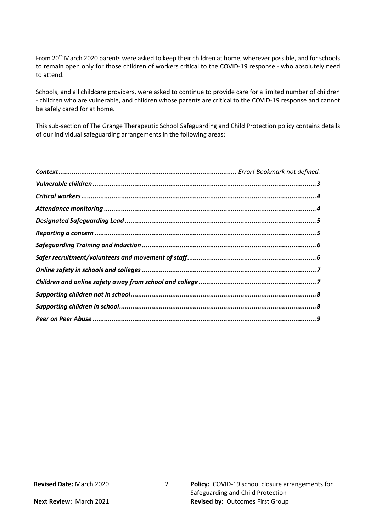From 20<sup>th</sup> March 2020 parents were asked to keep their children at home, wherever possible, and for schools to remain open only for those children of workers critical to the COVID-19 response - who absolutely need to attend.

Schools, and all childcare providers, were asked to continue to provide care for a limited number of children - children who are vulnerable, and children whose parents are critical to the COVID-19 response and cannot be safely cared for at home.

This sub-section of The Grange Therapeutic School Safeguarding and Child Protection policy contains details of our individual safeguarding arrangements in the following areas:

| <b>Revised Date: March 2020</b> | <b>Policy:</b> COVID-19 school closure arrangements for |
|---------------------------------|---------------------------------------------------------|
|                                 | Safeguarding and Child Protection                       |
| <b>Next Review: March 2021</b>  | <b>Revised by: Outcomes First Group</b>                 |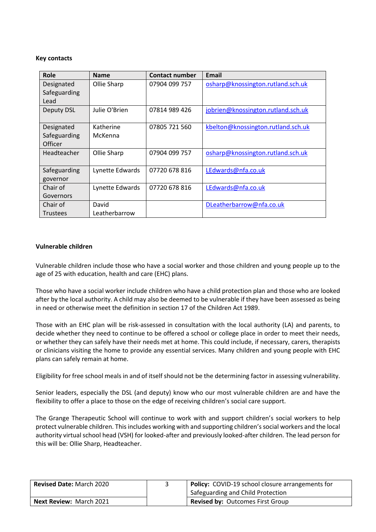### **Key contacts**

| Role            | <b>Name</b>     | <b>Contact number</b> | Email                              |
|-----------------|-----------------|-----------------------|------------------------------------|
| Designated      | Ollie Sharp     | 07904 099 757         | osharp@knossington.rutland.sch.uk  |
| Safeguarding    |                 |                       |                                    |
| Lead            |                 |                       |                                    |
| Deputy DSL      | Julie O'Brien   | 07814 989 426         | jobrien@knossington.rutland.sch.uk |
|                 |                 |                       |                                    |
| Designated      | Katherine       | 07805 721 560         | kbelton@knossington.rutland.sch.uk |
| Safeguarding    | McKenna         |                       |                                    |
| <b>Officer</b>  |                 |                       |                                    |
| Headteacher     | Ollie Sharp     | 07904 099 757         | osharp@knossington.rutland.sch.uk  |
|                 |                 |                       |                                    |
| Safeguarding    | Lynette Edwards | 07720 678 816         | LEdwards@nfa.co.uk                 |
| governor        |                 |                       |                                    |
| Chair of        | Lynette Edwards | 07720 678 816         | LEdwards@nfa.co.uk                 |
| Governors       |                 |                       |                                    |
| Chair of        | David           |                       | DLeatherbarrow@nfa.co.uk           |
| <b>Trustees</b> | Leatherbarrow   |                       |                                    |

# <span id="page-2-0"></span>**Vulnerable children**

Vulnerable children include those who have a social worker and those children and young people up to the age of 25 with education, health and care (EHC) plans.

Those who have a social worker include children who have a child protection plan and those who are looked after by the local authority. A child may also be deemed to be vulnerable if they have been assessed as being in need or otherwise meet the definition in section 17 of the Children Act 1989.

Those with an EHC plan will be risk-assessed in consultation with the local authority (LA) and parents, to decide whether they need to continue to be offered a school or college place in order to meet their needs, or whether they can safely have their needs met at home. This could include, if necessary, carers, therapists or clinicians visiting the home to provide any essential services. Many children and young people with EHC plans can safely remain at home.

Eligibility for free school meals in and of itself should not be the determining factor in assessing vulnerability.

Senior leaders, especially the DSL (and deputy) know who our most vulnerable children are and have the flexibility to offer a place to those on the edge of receiving children's social care support.

The Grange Therapeutic School will continue to work with and support children's social workers to help protect vulnerable children. This includes working with and supporting children's social workers and the local authority virtual school head (VSH) for looked-after and previously looked-after children. The lead person for this will be: Ollie Sharp, Headteacher.

| <b>Revised Date: March 2020</b> | Policy: COVID-19 school closure arrangements for |
|---------------------------------|--------------------------------------------------|
|                                 | Safeguarding and Child Protection                |
| <b>Next Review: March 2021</b>  | <b>Revised by: Outcomes First Group</b>          |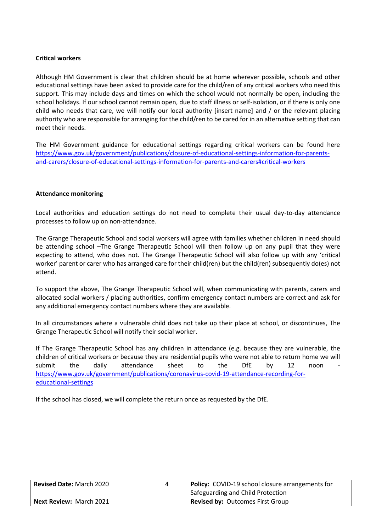# <span id="page-3-0"></span>**Critical workers**

Although HM Government is clear that children should be at home wherever possible, schools and other educational settings have been asked to provide care for the child/ren of any critical workers who need this support. This may include days and times on which the school would not normally be open, including the school holidays. If our school cannot remain open, due to staff illness or self-isolation, or if there is only one child who needs that care, we will notify our local authority [insert name] and / or the relevant placing authority who are responsible for arranging for the child/ren to be cared for in an alternative setting that can meet their needs.

The HM Government guidance for educational settings regarding critical workers can be found here [https://www.gov.uk/government/publications/closure-of-educational-settings-information-for-parents](https://www.gov.uk/government/publications/closure-of-educational-settings-information-for-parents-and-carers/closure-of-educational-settings-information-for-parents-and-carers#critical-workers)[and-carers/closure-of-educational-settings-information-for-parents-and-carers#critical-workers](https://www.gov.uk/government/publications/closure-of-educational-settings-information-for-parents-and-carers/closure-of-educational-settings-information-for-parents-and-carers#critical-workers)

### <span id="page-3-1"></span>**Attendance monitoring**

Local authorities and education settings do not need to complete their usual day-to-day attendance processes to follow up on non-attendance.

The Grange Therapeutic School and social workers will agree with families whether children in need should be attending school –The Grange Therapeutic School will then follow up on any pupil that they were expecting to attend, who does not. The Grange Therapeutic School will also follow up with any 'critical worker' parent or carer who has arranged care for their child(ren) but the child(ren) subsequently do(es) not attend.

To support the above, The Grange Therapeutic School will, when communicating with parents, carers and allocated social workers / placing authorities, confirm emergency contact numbers are correct and ask for any additional emergency contact numbers where they are available.

In all circumstances where a vulnerable child does not take up their place at school, or discontinues, The Grange Therapeutic School will notify their social worker.

If The Grange Therapeutic School has any children in attendance (e.g. because they are vulnerable, the children of critical workers or because they are residential pupils who were not able to return home we will submit the daily attendance sheet to the DfE by 12 noon [https://www.gov.uk/government/publications/coronavirus-covid-19-attendance-recording-for](https://www.gov.uk/government/publications/coronavirus-covid-19-attendance-recording-for-educational-settings)[educational-settings](https://www.gov.uk/government/publications/coronavirus-covid-19-attendance-recording-for-educational-settings)

<span id="page-3-2"></span>If the school has closed, we will complete the return once as requested by the DfE.

| <b>Revised Date: March 2020</b> | <b>Policy:</b> COVID-19 school closure arrangements for |
|---------------------------------|---------------------------------------------------------|
|                                 | Safeguarding and Child Protection                       |
| <b>Next Review: March 2021</b>  | <b>Revised by: Outcomes First Group</b>                 |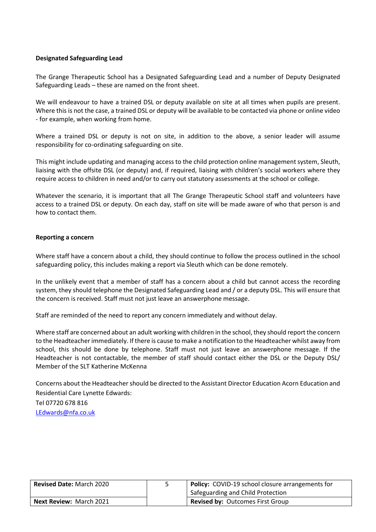# **Designated Safeguarding Lead**

The Grange Therapeutic School has a Designated Safeguarding Lead and a number of Deputy Designated Safeguarding Leads – these are named on the front sheet.

We will endeavour to have a trained DSL or deputy available on site at all times when pupils are present. Where this is not the case, a trained DSL or deputy will be available to be contacted via phone or online video - for example, when working from home.

Where a trained DSL or deputy is not on site, in addition to the above, a senior leader will assume responsibility for co-ordinating safeguarding on site.

This might include updating and managing access to the child protection online management system, Sleuth, liaising with the offsite DSL (or deputy) and, if required, liaising with children's social workers where they require access to children in need and/or to carry out statutory assessments at the school or college.

Whatever the scenario, it is important that all The Grange Therapeutic School staff and volunteers have access to a trained DSL or deputy. On each day, staff on site will be made aware of who that person is and how to contact them.

### <span id="page-4-0"></span>**Reporting a concern**

Where staff have a concern about a child, they should continue to follow the process outlined in the school safeguarding policy, this includes making a report via Sleuth which can be done remotely.

In the unlikely event that a member of staff has a concern about a child but cannot access the recording system, they should telephone the Designated Safeguarding Lead and / or a deputy DSL. This will ensure that the concern is received. Staff must not just leave an answerphone message.

Staff are reminded of the need to report any concern immediately and without delay.

Where staff are concerned about an adult working with children in the school, they should report the concern to the Headteacherimmediately. If there is cause to make a notification to the Headteacher whilst away from school, this should be done by telephone. Staff must not just leave an answerphone message. If the Headteacher is not contactable, the member of staff should contact either the DSL or the Deputy DSL/ Member of the SLT Katherine McKenna

Concerns about the Headteacher should be directed to the Assistant Director Education Acorn Education and Residential Care Lynette Edwards: Tel 07720 678 816 [LEdwards@nfa.co.uk](mailto:LEdwards@nfa.co.uk)

| <b>Revised Date: March 2020</b> | Policy: COVID-19 school closure arrangements for<br>Safeguarding and Child Protection |
|---------------------------------|---------------------------------------------------------------------------------------|
| <b>Next Review: March 2021</b>  | <b>Revised by: Outcomes First Group</b>                                               |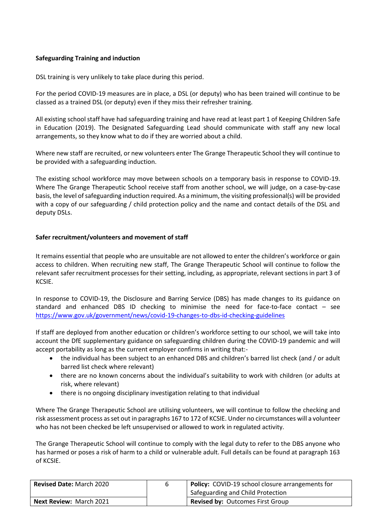# <span id="page-5-0"></span>**Safeguarding Training and induction**

DSL training is very unlikely to take place during this period.

For the period COVID-19 measures are in place, a DSL (or deputy) who has been trained will continue to be classed as a trained DSL (or deputy) even if they miss their refresher training.

All existing school staff have had safeguarding training and have read at least part 1 of Keeping Children Safe in Education (2019). The Designated Safeguarding Lead should communicate with staff any new local arrangements, so they know what to do if they are worried about a child.

Where new staff are recruited, or new volunteers enter The Grange Therapeutic School they will continue to be provided with a safeguarding induction.

The existing school workforce may move between schools on a temporary basis in response to COVID-19. Where The Grange Therapeutic School receive staff from another school, we will judge, on a case-by-case basis, the level of safeguarding induction required. As a minimum, the visiting professional(s) will be provided with a copy of our safeguarding / child protection policy and the name and contact details of the DSL and deputy DSLs.

# <span id="page-5-1"></span>**Safer recruitment/volunteers and movement of staff**

It remains essential that people who are unsuitable are not allowed to enter the children's workforce or gain access to children. When recruiting new staff, The Grange Therapeutic School will continue to follow the relevant safer recruitment processes for their setting, including, as appropriate, relevant sections in part 3 of KCSIE.

In response to COVID-19, the Disclosure and Barring Service (DBS) has made changes to its guidance on standard and enhanced DBS ID checking to minimise the need for face-to-face contact – see <https://www.gov.uk/government/news/covid-19-changes-to-dbs-id-checking-guidelines>

If staff are deployed from another education or children's workforce setting to our school, we will take into account the DfE supplementary guidance on safeguarding children during the COVID-19 pandemic and will accept portability as long as the current employer confirms in writing that:-

- the individual has been subject to an enhanced DBS and children's barred list check (and / or adult barred list check where relevant)
- there are no known concerns about the individual's suitability to work with children (or adults at risk, where relevant)
- there is no ongoing disciplinary investigation relating to that individual

Where The Grange Therapeutic School are utilising volunteers, we will continue to follow the checking and risk assessment process as set out in paragraphs 167 to 172 of KCSIE. Under no circumstances will a volunteer who has not been checked be left unsupervised or allowed to work in regulated activity.

The Grange Therapeutic School will continue to comply with the legal duty to refer to the DBS anyone who has harmed or poses a risk of harm to a child or vulnerable adult. Full details can be found at paragraph 163 of KCSIE.

| <b>Revised Date: March 2020</b> | <b>Policy:</b> COVID-19 school closure arrangements for |
|---------------------------------|---------------------------------------------------------|
|                                 | Safeguarding and Child Protection                       |
| <b>Next Review: March 2021</b>  | <b>Revised by: Outcomes First Group</b>                 |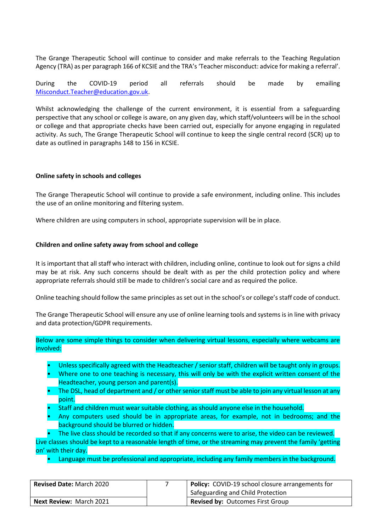The Grange Therapeutic School will continue to consider and make referrals to the Teaching Regulation Agency (TRA) as per paragraph 166 of KCSIE and the TRA's 'Teacher misconduct: advice for making a referral'.

During the COVID-19 period all referrals should be made by emailing [Misconduct.Teacher@education.gov.uk.](mailto:Misconduct.Teacher@education.gov.uk)

Whilst acknowledging the challenge of the current environment, it is essential from a safeguarding perspective that any school or college is aware, on any given day, which staff/volunteers will be in the school or college and that appropriate checks have been carried out, especially for anyone engaging in regulated activity. As such, The Grange Therapeutic School will continue to keep the single central record (SCR) up to date as outlined in paragraphs 148 to 156 in KCSIE.

### <span id="page-6-0"></span>**Online safety in schools and colleges**

The Grange Therapeutic School will continue to provide a safe environment, including online. This includes the use of an online monitoring and filtering system.

Where children are using computers in school, appropriate supervision will be in place.

### <span id="page-6-1"></span>**Children and online safety away from school and college**

It is important that all staff who interact with children, including online, continue to look out for signs a child may be at risk. Any such concerns should be dealt with as per the child protection policy and where appropriate referrals should still be made to children's social care and as required the police.

Online teaching should follow the same principles as set out in the school's or college's staff code of conduct.

The Grange Therapeutic School will ensure any use of online learning tools and systems is in line with privacy and data protection/GDPR requirements.

Below are some simple things to consider when delivering virtual lessons, especially where webcams are involved:

- Unless specifically agreed with the Headteacher / senior staff, children will be taught only in groups.
- Where one to one teaching is necessary, this will only be with the explicit written consent of the Headteacher, young person and parent(s).
- The DSL, head of department and / or other senior staff must be able to join any virtual lesson at any point.
- Staff and children must wear suitable clothing, as should anyone else in the household.
- Any computers used should be in appropriate areas, for example, not in bedrooms; and the background should be blurred or hidden.

The live class should be recorded so that if any concerns were to arise, the video can be reviewed. Live classes should be kept to a reasonable length of time, or the streaming may prevent the family 'getting on' with their day.

• Language must be professional and appropriate, including any family members in the background.

| <b>Revised Date: March 2020</b> | Policy: COVID-19 school closure arrangements for |
|---------------------------------|--------------------------------------------------|
|                                 | <sup>1</sup> Safeguarding and Child Protection   |
| <b>Next Review: March 2021</b>  | <b>Revised by: Outcomes First Group</b>          |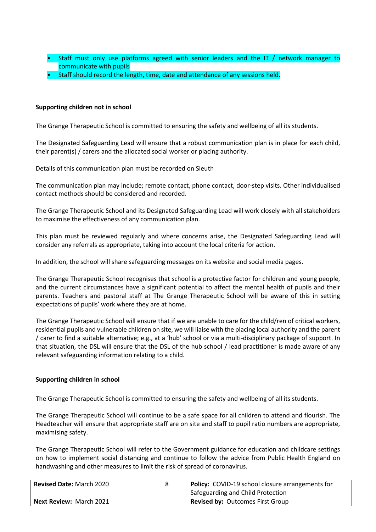- Staff must only use platforms agreed with senior leaders and the IT / network manager to communicate with pupils
- Staff should record the length, time, date and attendance of any sessions held.

# <span id="page-7-0"></span>**Supporting children not in school**

The Grange Therapeutic School is committed to ensuring the safety and wellbeing of all its students.

The Designated Safeguarding Lead will ensure that a robust communication plan is in place for each child, their parent(s) / carers and the allocated social worker or placing authority.

Details of this communication plan must be recorded on Sleuth

The communication plan may include; remote contact, phone contact, door-step visits. Other individualised contact methods should be considered and recorded.

The Grange Therapeutic School and its Designated Safeguarding Lead will work closely with all stakeholders to maximise the effectiveness of any communication plan.

This plan must be reviewed regularly and where concerns arise, the Designated Safeguarding Lead will consider any referrals as appropriate, taking into account the local criteria for action.

In addition, the school will share safeguarding messages on its website and social media pages.

The Grange Therapeutic School recognises that school is a protective factor for children and young people, and the current circumstances have a significant potential to affect the mental health of pupils and their parents. Teachers and pastoral staff at The Grange Therapeutic School will be aware of this in setting expectations of pupils' work where they are at home.

The Grange Therapeutic School will ensure that if we are unable to care for the child/ren of critical workers, residential pupils and vulnerable children on site, we will liaise with the placing local authority and the parent / carer to find a suitable alternative; e.g., at a 'hub' school or via a multi-disciplinary package of support. In that situation, the DSL will ensure that the DSL of the hub school / lead practitioner is made aware of any relevant safeguarding information relating to a child.

# <span id="page-7-1"></span>**Supporting children in school**

The Grange Therapeutic School is committed to ensuring the safety and wellbeing of all its students.

The Grange Therapeutic School will continue to be a safe space for all children to attend and flourish. The Headteacher will ensure that appropriate staff are on site and staff to pupil ratio numbers are appropriate, maximising safety.

The Grange Therapeutic School will refer to the Government guidance for education and childcare settings on how to implement social distancing and continue to follow the advice from Public Health England on handwashing and other measures to limit the risk of spread of coronavirus.

| <b>Revised Date: March 2020</b> | <b>Policy:</b> COVID-19 school closure arrangements for |
|---------------------------------|---------------------------------------------------------|
|                                 | Safeguarding and Child Protection                       |
| <b>Next Review: March 2021</b>  | <b>Revised by: Outcomes First Group</b>                 |